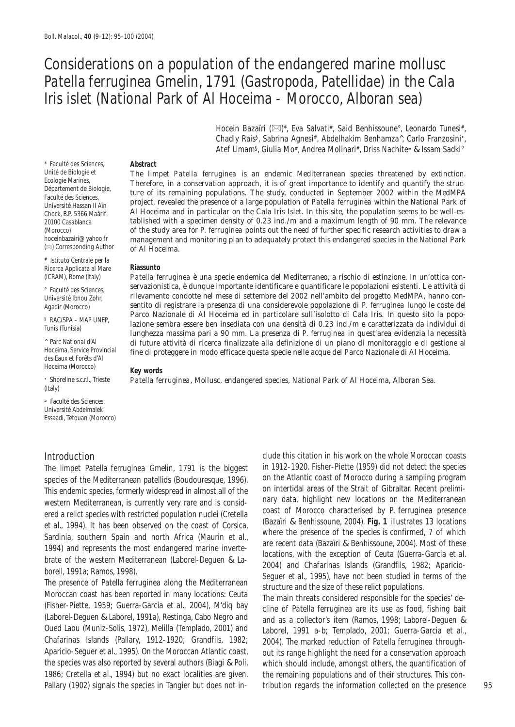# Considerations on a population of the endangered marine mollusc *Patella ferruginea* Gmelin, 1791 (Gastropoda, Patellidae) in the Cala Iris islet (National Park of Al Hoceima - Morocco, Alboran sea)

Hocein Bazaïri ( $\boxtimes$ )\*, Eva Salvati#, Said Benhissoune°, Leonardo Tunesi#, Chadly Rais§, Sabrina Agnesi#, Abdelhakim Benhamza^, Carlo Franzosini•, Atef Limam§, Giulia Mo#, Andrea Molinari#, Driss Nachite<sup>≠</sup> & Issam Sadki°

Unité de Biologie et **The limpet** *Patella ferruginea* **is an endemic Mediterranean species threatened by extinction.**<br>
Ecologie Marines, **Therefore, in a conservation approach, it is of great importance to identify and quan** Université Hassan II Aïn project, revealed the presence of a large population of *Patella ferruginea* within the National Park of Al Hoceima and in particular on the Cala Iris Islet. In this site, the population seems to be well-es-20100 Casablanca tablished with a specimen density of 0.23 ind./m and a maximum length of 90 mm. The relevance<br>(Morocco) of the study area for *P. ferruginea* points out the need of further specific research activities to (Morocco) of the study area for *P. ferruginea* points out the need of further specific research activities to draw a hoceinbazairi@yahoo.fr management and monitoring plan to adequately protect this endangered species in t hoceinbazairi@yahoo.fr management and monitoring plan to adequately protect this endangered species in the National Park ( $\boxtimes$ ) Corresponding Author of Al Hoceima.

Patella ferruginea è una specie endemica del Mediterraneo, a rischio di estinzione. In un'ottica con-<sup>e</sup> Faculté des Sciences, servazionistica, è dunque importante identificare e quantificare le popolazioni esistenti. Le attività di<br>Université Ibnou Zohr. rilevamento condotte nel mese di settembre del 2002 nell'ambito del rilevamento condotte nel mese di settembre del 2002 nell'ambito del progetto MedMPA, hanno con-Agadir (Morocco) sentito di registrare la presenza di una considerevole popolazione di *P. ferruginea* lungo le coste del FAC/SPA – MAP UNEP,<br>
lazione sembra essere ben insediata con una densità di 0.23 ind./m e caratterizzata da individui di<br>
lunghezza massima pari a 90 mm. La presenza di *P. ferruginea* in quest'area evidenzia la necessità<br> A Parc National d'Al di future attività di ricerca finalizzate alla definizione di un piano di monitoraggio e di gestione al Hoceima, Service Provincial fine di proteggere in modo efficace questa specie nelle acque del Par

• Shoreline s.c.r.l., Trieste *Patella ferruginea*, Mollusc, endangered species, National Park of Al Hoceima, Alboran Sea.

\* Faculté des Sciences, **Abstract** 

# Istituto Centrale per la Ricerca Applicata al Mare **Riassunto** 

Hoceima (Morocco) **Key words** 

(Italy)

<sup>≠</sup> Faculté des Sciences, Université Abdelmalek Essaadi, Tetouan (Morocco)

The limpet *Patella ferruginea* Gmelin, 1791 is the biggest species of the Mediterranean patellids (Boudouresque, 1996). on the Atlantic coast of Morocco during a sampling program<br>This endemic species formerly widespread in almost all of the on intertidal areas of the Strait of Gib This endemic species, formerly widespread in almost all of the on intertidal areas of the Strait of Gibraltar. Recent prelimiwestern Mediterranean, is currently very rare and is consid-<br>
coast of Morocco characterised by P. ferruginea presence ered a relict species with restricted population nuclei (Cretella coast of Morocco characterised by *P. ferruginea* presence *et al.*, 1994). It has been observed on the coast of Corsica, (Bazaïri & Benhissoune, 2004). **Fig. 1** illustrates 13 locations Sardinia, southern Spain and north Africa (Maurin *et al.*, where the presence of the species is committed, 7 of which<br>are recent data (Bazaïri & Benhissoune, 2004). Most of these 1994) and represents the most endangered marine inverte-<br>locations, with the exception of Ceuta (Guerra-Garcia et al.

brate of the western Mediterranean (Laborel-Deguen & Laborell, 1991a; Ramos, 1998).<br>
brate of the western Mediterranean (Laborel-Deguen & Laborell, 1991a; Ramos, 1998).<br>
The presence of *Patella ferruginea* along the Medit Oued Laou (Muniz-Solis, 1972), Melilla (Templado, 2001) and Laborel, 1991 a-b; Templado, 2001; Guerra-Garcia *et al.*, Chafarinas Islands (Pallary, 1912-1920; Grandfils, 1982; 2004). The marked reduction of *Patella ferruginea* throughthe species was also reported by several authors (Biagi & Poli, which should include, amongst others, the quantification of 1986; Cretella *et al.*, 1994) but no exact localities are given. the remaining populations and of their structures. This con-Pallary (1902) signals the species in Tangier but does not in- tribution regards the information collected on the presence 95

Introduction<br>Introduction coasts content in this citation in his work on the whole Moroccan coasts<br>Intention in this work on the whole Moroccan coasts<br>Intention in his work on the whole Moroccan coasts<br>Intention in his wor

out its range highlight the need for a conservation approach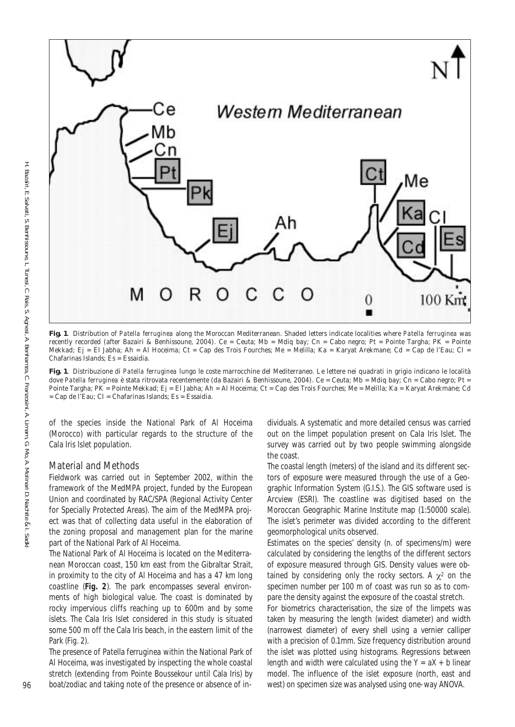

**Fig. 1**. Distribution of *Patella ferruginea* along the Moroccan Mediterranean. Shaded letters indicate localities where *Patella ferruginea* was recently recorded (after Bazairi & Benhissoune, 2004). Ce = Ceuta; Mb = Mdiq bay; Cn = Cabo negro; Pt = Pointe Targha; PK = Pointe Mekkad; Ej = El Jabha; Ah = Al Hoceima; Ct = Cap des Trois Fourches; Me = Melilla; Ka = Karyat Arekmane; Cd = Cap de l'Eau; CI = Chafarinas Islands; Es = Essaidia.

= Cap de l'Eau; CI = Chafarinas Islands; Es = Essaidia. **Fig. 1**. Distribuzione di *Patella ferruginea* lungo le coste marrocchine del Mediterraneo. Le lettere nei quadrati in grigio indicano le località dove Patella ferruginea è stata ritrovata recentemente (da Bazairi & Benhissoune, 2004). Ce = Ceuta; Mb = Mdiq bay; Cn = Cabo negro; Pt = Pointe Targha; PK = Pointe Mekkad; Ej = El Jabha; Ah = Al Hoceima; Ct = Cap des Trois Fourches; Me = Melilla; Ka = Karyat Arekmane; Cd

of the species inside the National Park of Al Hoceima (Morocco) with particular regards to the structure of the Cala Iris Islet population.

## Material and Methods

Fieldwork was carried out in September 2002, within the framework of the MedMPA project, funded by the European Union and coordinated by RAC/SPA (Regional Activity Center for Specially Protected Areas). The aim of the MedMPA project was that of collecting data useful in the elaboration of the zoning proposal and management plan for the marine part of the National Park of Al Hoceima.

The National Park of Al Hoceima is located on the Mediterranean Moroccan coast, 150 km east from the Gibraltar Strait, in proximity to the city of Al Hoceima and has a 47 km long coastline (**Fig. 2**). The park encompasses several environments of high biological value. The coast is dominated by rocky impervious cliffs reaching up to 600m and by some islets. The Cala Iris Islet considered in this study is situated some 500 m off the Cala Iris beach, in the eastern limit of the Park (Fig. 2).

The presence of *Patella ferruginea* within the National Park of Al Hoceima, was investigated by inspecting the whole coastal stretch (extending from Pointe Boussekour until Cala Iris) by dividuals. A systematic and more detailed census was carried out on the limpet population present on Cala Iris Islet. The survey was carried out by two people swimming alongside the coast.

The coastal length (meters) of the island and its different sectors of exposure were measured through the use of a Geographic Information System (G.I.S.). The GIS software used is Arcview (ESRI). The coastline was digitised based on the Moroccan Geographic Marine Institute map (1:50000 scale). The islet's perimeter was divided according to the different geomorphological units observed.

Estimates on the species' density (n. of specimens/m) were calculated by considering the lengths of the different sectors of exposure measured through GIS. Density values were obtained by considering only the rocky sectors. A  $\chi^2$  on the specimen number per 100 m of coast was run so as to compare the density against the exposure of the coastal stretch.

96 boat/zodiac and taking note of the presence or absence of in- west) on specimen size was analysed using one-way ANOVA. For biometrics characterisation, the size of the limpets was taken by measuring the length (widest diameter) and width (narrowest diameter) of every shell using a vernier calliper with a precision of 0.1mm. Size frequency distribution around the islet was plotted using histograms. Regressions between length and width were calculated using the  $Y = aX + b$  linear model. The influence of the islet exposure (north, east and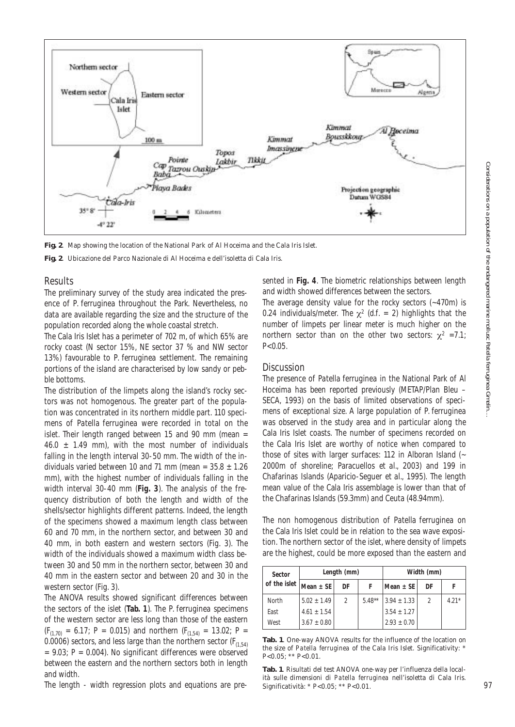

**Fig. 2**. Map showing the location of the National Park of Al Hoceima and the Cala Iris Islet.

**Fig. 2**. Ubicazione del Parco Nazionale di Al Hoceima e dell'isoletta di Cala Iris.

### Results

The preliminary survey of the study area indicated the presence of *P. ferruginea* throughout the Park. Nevertheless, no data are available regarding the size and the structure of the population recorded along the whole coastal stretch.

The Cala Iris Islet has a perimeter of 702 m, of which 65% are rocky coast (N sector 15%, NE sector 37 % and NW sector 13%) favourable to *P. ferruginea* settlement. The remaining portions of the island are characterised by low sandy or pebble bottoms.

The distribution of the limpets along the island's rocky sectors was not homogenous. The greater part of the population was concentrated in its northern middle part. 110 specimens of *Patella ferruginea* were recorded in total on the islet. Their length ranged between 15 and 90 mm (mean =  $46.0 \pm 1.49$  mm), with the most number of individuals falling in the length interval 30-50 mm. The width of the individuals varied between 10 and 71 mm (mean =  $35.8 \pm 1.26$ ) mm), with the highest number of individuals falling in the width interval 30-40 mm (**Fig. 3**). The analysis of the frequency distribution of both the length and width of the shells/sector highlights different patterns. Indeed, the length of the specimens showed a maximum length class between 60 and 70 mm, in the northern sector, and between 30 and 40 mm, in both eastern and western sectors (Fig. 3). The width of the individuals showed a maximum width class between 30 and 50 mm in the northern sector, between 30 and 40 mm in the eastern sector and between 20 and 30 in the western sector (Fig. 3).

 $(F_{(1,70)} = 6.17; P = 0.015)$  and northern  $(F_{(1,54)} = 13.02; P = 13.02)$ The ANOVA results showed significant differences between the sectors of the islet (**Tab. 1**). The *P. ferruginea* specimens of the western sector are less long than those of the eastern 0.0006) sectors, and less large than the northern sector ( $F_{(1,54)}$ )  $= 9.03$ ; P  $= 0.004$ ). No significant differences were observed between the eastern and the northern sectors both in length and width.

The length - width regression plots and equations are pre-

sented in **Fig. 4**. The biometric relationships between length and width showed differences between the sectors.

The average density value for the rocky sectors (~470m) is 0.24 individuals/meter. The  $\chi^2$  (d.f. = 2) highlights that the number of limpets per linear meter is much higher on the northern sector than on the other two sectors:  $\chi^2$  =7.1;  $P < 0.05$ .

### **Discussion**

The presence of *Patella ferruginea* in the National Park of Al Hoceima has been reported previously (METAP/Plan Bleu – SECA, 1993) on the basis of limited observations of specimens of exceptional size. A large population of *P. ferruginea*  was observed in the study area and in particular along the Cala Iris Islet coasts. The number of specimens recorded on the Cala Iris Islet are worthy of notice when compared to those of sites with larger surfaces: 112 in Alboran Island (~ 2000m of shoreline; Paracuellos *et al.,* 2003) and 199 in Chafarinas Islands (Aparicio-Seguer *et al.*, 1995). The length mean value of the Cala Iris assemblage is lower than that of the Chafarinas Islands (59.3mm) and Ceuta (48.94mm).

The non homogenous distribution of *Patella ferruginea* on the Cala Iris Islet could be in relation to the sea wave exposition. The northern sector of the islet, where density of limpets are the highest, could be more exposed than the eastern and

| Sector<br>of the islet $ $ Mean $\pm$ SE $ $ | Length (mm)     |    |          | Width (mm)      |                |         |
|----------------------------------------------|-----------------|----|----------|-----------------|----------------|---------|
|                                              |                 | DF |          | Mean ± SE       | DF             |         |
| North                                        | $5.02 + 1.49$   |    | $5.48**$ | $3.94 \pm 1.33$ | $\mathfrak{D}$ | $4.21*$ |
| East                                         | $4.61 + 1.54$   |    |          | $3.54 + 1.27$   |                |         |
| West                                         | $3.67 \pm 0.80$ |    |          | $2.93 + 0.70$   |                |         |

**Tab. 1**. One-way ANOVA results for the influence of the location on the size of *Patella ferruginea* of the Cala Iris Islet. Significativity: \*  $P<0.05$ ; \*\*  $P<0.01$ .

**Tab. 1**. Risultati del test ANOVA one-way per l'influenza della località sulle dimensioni di *Patella ferruginea* nell'isoletta di Cala Iris. Significatività: \* P<0.05; \*\* P<0.01. 97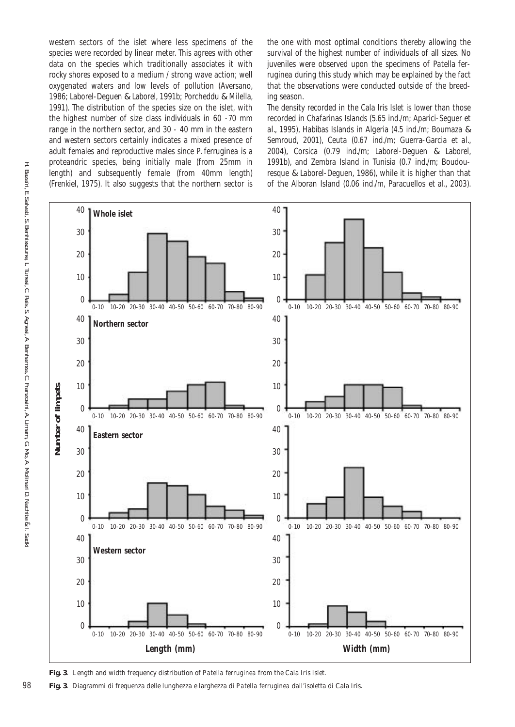western sectors of the islet where less specimens of the species were recorded by linear meter. This agrees with other data on the species which traditionally associates it with rocky shores exposed to a medium / strong wave action; well oxygenated waters and low levels of pollution (Aversano, 1986; Laborel-Deguen & Laborel, 1991b; Porcheddu & Milella, 1991). The distribution of the species size on the islet, with the highest number of size class individuals in 60 -70 mm range in the northern sector, and 30 - 40 mm in the eastern and western sectors certainly indicates a mixed presence of adult females and reproductive males since *P. ferruginea* is a proteandric species, being initially male (from 25mm in length) and subsequently female (from 40mm length) (Frenkiel, 1975). It also suggests that the northern sector is

the one with most optimal conditions thereby allowing the survival of the highest number of individuals of all sizes. No juveniles were observed upon the specimens of *Patella ferruginea* during this study which may be explained by the fact that the observations were conducted outside of the breeding season.

The density recorded in the Cala Iris Islet is lower than those recorded in Chafarinas Islands (5.65 ind./m; Aparici-Seguer *et al*., 1995), Habibas Islands in Algeria (4.5 ind./m; Boumaza & Semroud, 2001), Ceuta (0.67 ind./m; Guerra-Garcia *et al.*, 2004), Corsica (0.79 ind./m; Laborel-Deguen & Laborel, 1991b), and Zembra Island in Tunisia (0.7 ind./m; Boudouresque & Laborel-Deguen, 1986), while it is higher than that of the Alboran Island (0.06 ind./m, Paracuellos *et al.*, 2003).





98 **Fig. 3**. Diagrammi di frequenza delle lunghezza e larghezza di *Patella ferruginea* dall'isoletta di Cala Iris.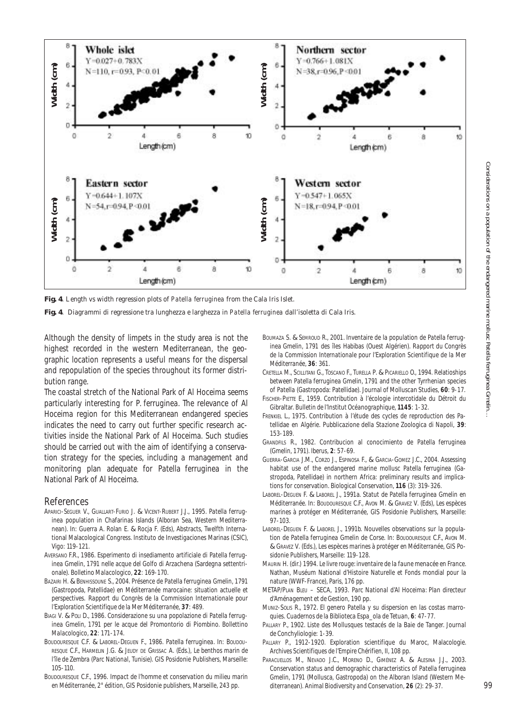

**Fig. 4**. Length vs width regression plots of *Patella ferruginea* from the Cala Iris Islet.

**Fig. 4**. Diagrammi di regressione tra lunghezza e larghezza in *Patella ferruginea* dall'isoletta di Cala Iris.

Although the density of limpets in the study area is not the highest recorded in the western Mediterranean, the geographic location represents a useful means for the dispersal and repopulation of the species throughout its former distribution range.

The coastal stretch of the National Park of Al Hoceima seems particularly interesting for *P. ferruginea*. The relevance of Al Hoceima region for this Mediterranean endangered species indicates the need to carry out further specific research activities inside the National Park of Al Hoceima. Such studies should be carried out with the aim of identifying a conservation strategy for the species, including a management and monitoring plan adequate for *Patella ferruginea* in the National Park of Al Hoceima.

### References

- APARICI-SEGUER V., GUALLART-FURIO J. & VICENT-RUBERT J.J., 1995. *Patella ferruginea* population in Chafarinas Islands (Alboran Sea, Western Mediterranean). In: Guerra A. Rolan E. & Rocja F. (Eds), Abstracts, Twelfth International Malacological Congress. Instituto de Investigaciones Marinas (CSIC), Vigo: 119-121.
- AVERSANO F.R., 1986. Esperimento di insediamento artificiale di *Patella ferruginea* Gmelin, 1791 nelle acque del Golfo di Arzachena (Sardegna settentrionale). *Bolletino Malacologico*, **22**: 169-170.
- BAZAIRI H. & BENHISSOUNE S., 2004. Présence de *Patella ferruginea* Gmelin, 1791 (Gastropoda, Patellidae) en Méditerranée marocaine: situation actuelle et perspectives. *Rapport du Congrès de la Commission Internationale pour l'Exploration Scientifique de la Mer Méditerranée*, **37**: 489.
- BIAGI V. & POLI D., 1986. Considerazione su una popolazione di *Patella ferruginea* Gmelin, 1791 per le acque del Promontorio di Piombino. *Bollettino Malacologico*, **22**: 171-174.
- BOUDOURESQUE C.F. & LABOREL-DEGUEN F., 1986. *Patella ferruginea*. In: BOUDOU-RESQUE C.F., HARMELIN J.G. & JEUDY DE GRISSAC A. (Eds.), *Le benthos marin de l'île de Zembra (Parc National*, *Tunisie)*. GIS Posidonie Publishers, Marseille: 105-110.
- BOUDOURESQUE C.F., 1996. *Impact de l'homme et conservation du milieu marin en Méditerranée*, 2° édition, GIS Posidonie publishers, Marseille, 243 pp.
- BOUMAZA S. & SEMROUD R., 2001. Inventaire de la population de *Patella ferruginea* Gmelin, 1791 des îles Habibas (Ouest Algérien). *Rapport du Congrès de la Commission Internationale pour l'Exploration Scientifique de la Mer Méditerranée*, **36**: 361.
- CRETELLA M., SCILLITANI G., TOSCANO F., TURELLA P. & PICARIELLO O., 1994. Relatioships between *Patella ferruginea* Gmelin, 1791 and the other Tyrrhenian species of *Patella* (Gastropoda: Patellidae). *Journal of Molluscan Studies*, **60**: 9-17.
- FISCHER-PIETTE E., 1959. Contribution à l'écologie intercotidale du Détroit du Gibraltar. *Bulletin de l'Institut Océanographique*, **1145**: 1-32.
- FRENKIEL L., 1975. Contribution à l'étude des cycles de reproduction des Patellidae en Algérie. *Pubblicazione della Stazione Zoologica di Napoli*, **39**: 153-189.
- GRANDFILS R., 1982. Contribucion al conocimiento de *Patella ferruginea*  (Gmelin, 1791). *Iberus*, **2**: 57-69.
- GUERRA-GARCIA J.M., CORZO J., ESPINOSA F., & GARCIA-GOMEZ J.C., 2004. Assessing habitat use of the endangered marine mollusc *Patella ferruginea* (Gastropoda, Patellidae) in northern Africa: preliminary results and implications for conservation. *Biological Conservation*, **116** (3): 319-326.
- LABOREL-DEGUEN F. & LABOREL J., 1991a. Statut de *Patella ferruginea* Gmelin en Méditerranée. In: BOUDOURESQUE C.F., AVON M. & GRAVEZ V. (Eds), *Les espèces marines à protéger en Méditerranée*, GIS Posidonie Publishers, Marseille: 97-103.
- LABOREL-DEGUEN F. & LABOREL J., 1991b. Nouvelles observations sur la population de *Patella ferruginea* Gmelin de Corse. In: BOUDOURESQUE C.F., AVON M. & GRAVEZ V. (Eds.), *Les espèces marines à protéger en Méditerranée*, GIS Posidonie Publishers, Marseille: 119-128.
- MAURIN H. (dir.) 1994. *Le livre rouge: inventaire de la faune menacée en France*. Nathan, Muséum National d'Histoire Naturelle et Fonds mondial pour la nature (WWF-France), Paris, 176 pp.
- METAP/PLAN BLEU SECA, 1993. *Parc National d'Al Hoceima: Plan directeur d'Aménagement et de Gestion*, 190 pp.
- MUNIZ-SOLIS R., 1972. El genero *Patella* y su dispersion en las costas marroquies. *Cuadernos de la Biblioteca Espa\_ola de Tetuan*, **6**: 47-77.
- PALLARY P., 1902. Liste des Mollusques testacés de la Baie de Tanger. *Journal de Conchyliologie*: 1-39.
- PALLARY P., 1912-1920. Exploration scientifique du Maroc, Malacologie. *Archives Scientifiques de l'Empire Chérifien*, II, 108 pp.
- PARACUELLOS M., NEVADO J.C., MORENO D., GIMÉNEZ A. & ALESINA J.J., 2003. Conservation status and demographic characteristics of *Patella ferruginea*  Gmelin, 1791 (Mollusca, Gastropoda) on the Alboran Island (Western Mediterranean). *Animal Biodiversity and Conservation*, **26** (2): 29-37. 99